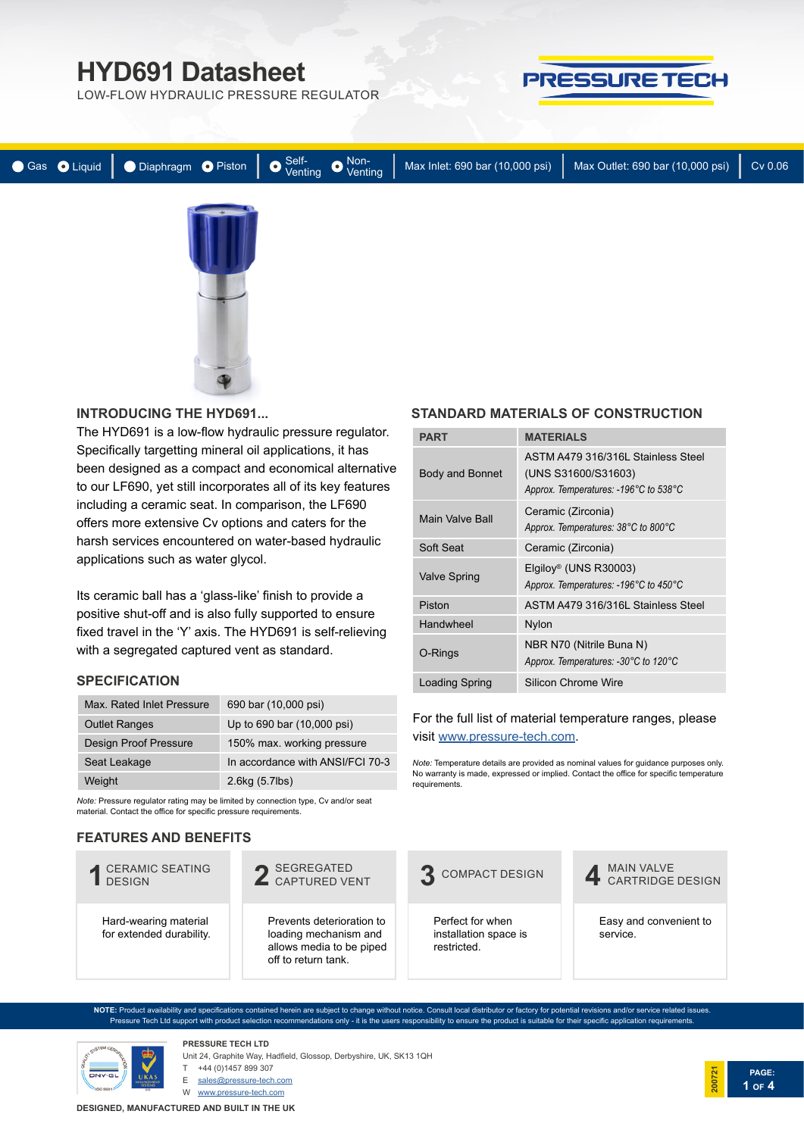LOW-FLOW HYDRAULIC PRESSURE REGULATOR



|  |  |  |  |  | ● Gas ● Liquid   ● Diaphragm ● Piston   ● Self-<br>● Cas ● Liquid   ● Diaphragm ● Piston   ● Venting ● Venting   Max Inlet: 690 bar (10,000 psi)   Max Outlet: 690 bar (10,000 psi) | Cv 0.06 |
|--|--|--|--|--|-------------------------------------------------------------------------------------------------------------------------------------------------------------------------------------|---------|
|  |  |  |  |  |                                                                                                                                                                                     |         |

#### **INTRODUCIN[G THE HYD691...](https://www.pressure-tech.com/?page=product&product=53)**

The HYD691 is a low-flow hydraulic pressure regulator. Specifically targetting mineral oil applications, it has been designed as a compact and economical alternative to our LF690, yet still incorporates all of its key features including a ceramic seat. In comparison, the LF690 offers more extensive Cv options and caters for the harsh services encountered on water-based hydraulic applications such as water glycol.

Its ceramic ball has a 'glass-like' finish to provide a positive shut-off and is also fully supported to ensure fixed travel in the 'Y' axis. The HYD691 is self-relieving with a segregated captured vent as standard.

#### **SPECIFICATION**

| Max. Rated Inlet Pressure    | 690 bar (10,000 psi)             |
|------------------------------|----------------------------------|
| <b>Outlet Ranges</b>         | Up to 690 bar (10,000 psi)       |
| <b>Design Proof Pressure</b> | 150% max. working pressure       |
| Seat Leakage                 | In accordance with ANSI/FCI 70-3 |
| Weight                       | 2.6kg (5.7lbs)                   |

*Note:* Pressure regulator rating may be limited by connection type, Cv and/or seat material. Contact the office for specific pressure requirements.

#### **FEATURES AND BENEFITS**

#### Hard-wearing material for extended durability. CERAMIC SEATING **1** DESIGN Prevents deterioration to loading mechanism and allows media to be piped off to return tank. 2 SEGREGATED<br>
2 CAPTURED VENT Perfect for when installation space is restricted. **3** COMPACT DESIGN Easy and convenient to service. MAIN VALVE **4** CARTRIDGE DESIGN

**NOTE:** Product availability and specifications contained herein are subject to change without notice. Consult local distributor or factory for potential revisions and/or service related issues. Pressure Tech Ltd support with product selection recommendations only - it is the users responsibility to ensure the product is suitable for their specific application requirements.



**PRESSURE TECH LTD** Unit 24, Graphite Way, Hadfield, Glossop, Derbyshire, UK, SK13 1QH

T +44 (0)1457 899 307

E sales@pressure-tech.com

W www.pressure-tech.com

### **STANDARD MATERIALS OF CONSTRUCTION**

| <b>PART</b>            | <b>MATERIALS</b>                                                                                   |  |  |  |  |
|------------------------|----------------------------------------------------------------------------------------------------|--|--|--|--|
| <b>Body and Bonnet</b> | ASTM A479 316/316L Stainless Steel<br>(UNS S31600/S31603)<br>Approx. Temperatures: -196°C to 538°C |  |  |  |  |
| Main Valve Ball        | Ceramic (Zirconia)<br>Approx. Temperatures: 38°C to 800°C                                          |  |  |  |  |
| Soft Seat              | Ceramic (Zirconia)                                                                                 |  |  |  |  |
| <b>Valve Spring</b>    | Elgiloy <sup>®</sup> (UNS R30003)<br>Approx. Temperatures: -196°C to 450°C                         |  |  |  |  |
| Piston                 | ASTM A479 316/316L Stainless Steel                                                                 |  |  |  |  |
| Handwheel              | Nylon                                                                                              |  |  |  |  |
| O-Rings                | NBR N70 (Nitrile Buna N)<br>Approx. Temperatures: -30°C to 120°C                                   |  |  |  |  |
| Loading Spring         | Silicon Chrome Wire                                                                                |  |  |  |  |

#### For the full list of material temperature ranges, please visit [www.pressure-tech.com](http://www.pressure-tech.com/resources/49/material temperature range guide.pdf).

*Note:* Temperature details are provided as nominal values for guidance purposes only. No warranty is made, expressed or implied. Contact the office for specific temperature requirements.

**PAGE:**

**1 OF 4**

**200721**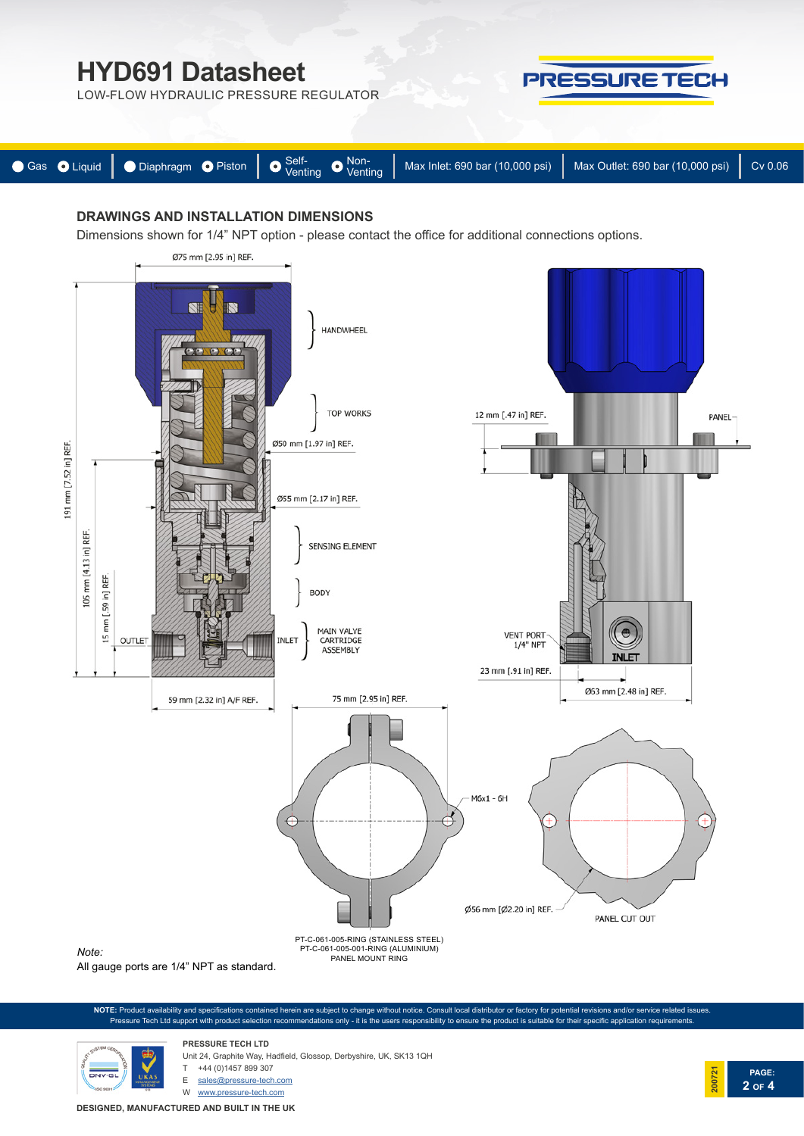LOW-FLOW HYDRAULIC PRESSURE REGULATOR



**PAGE:**

**2 OF 4**

**200721**

| Gas O Liquid   O Diaphragm O Piston   O Self-<br>Venting   Max Inlet: 690 bar (10,000 psi)   Max Outlet: 690 bar (10,000 psi)   Max Outlet: 690 bar (10,000 psi)   Cv 0.06 |  |  |  |  |  |
|----------------------------------------------------------------------------------------------------------------------------------------------------------------------------|--|--|--|--|--|

# **DRAWINGS AND INSTALLATION DIMENSIONS**

Dimensions shown for 1/4" NPT option - please contact the office for additional connections options.



**NOTE:** Product availability and specifications contained herein are subject to change without notice. Consult local distributor or factory for potential revisions and/or service related issues. Pressure Tech Ltd support with product selection recommendations only - it is the users responsibility to ensure the product is suitable for their specific application requirements.



**PRESSURE TECH LTD** Unit 24, Graphite Way, Hadfield, Glossop, Derbyshire, UK, SK13 1QH +44 (0)1457 899 307

E sales@pressure-tech.com

W www.pressure-tech.com

**DESIGNED, MANUFACTURED AND BUILT IN THE UK**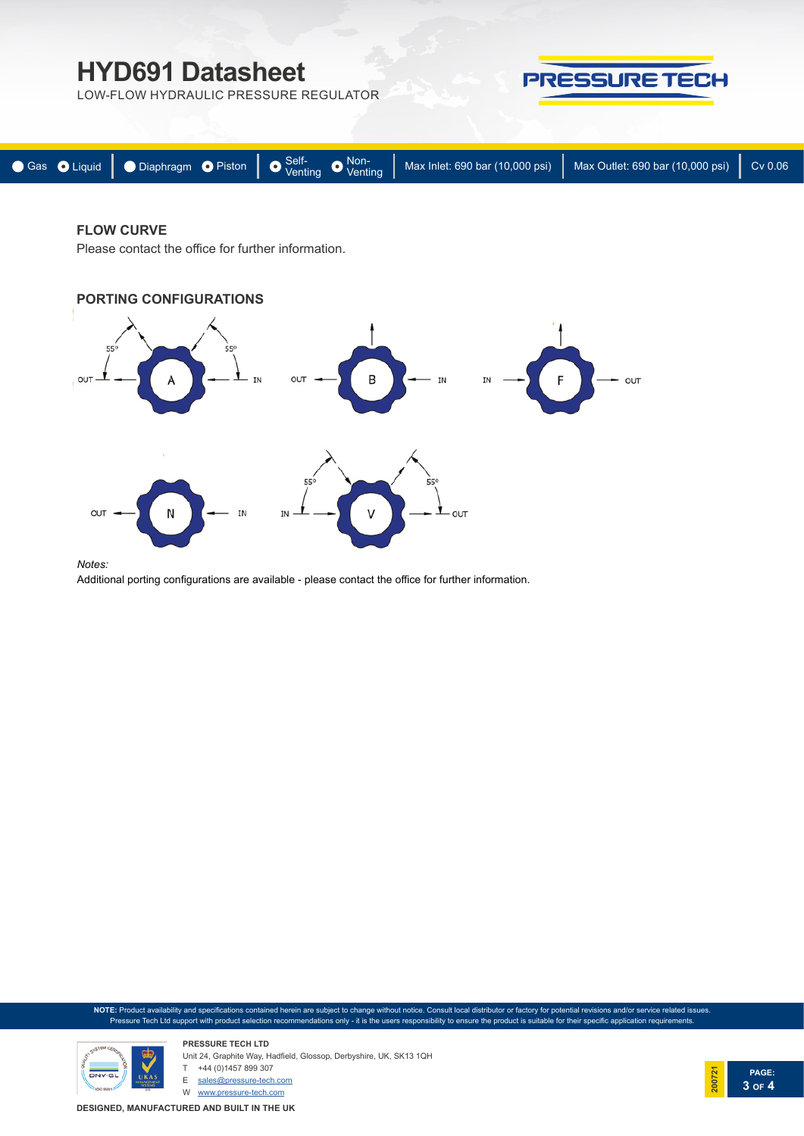LOW-FLOW HYDRAULIC PRESSURE REGULATOR



| ● Gas ● Liquid   ● Diaphragm ● Piston   ● $^{\text{Self-}}$ ● $^{\text{Non-}}$ Max Inlet: 690 bar (10,000 psi)   Max Outlet: 690 bar (10,000 psi)   Cv 0.06 |  |  |  |
|-------------------------------------------------------------------------------------------------------------------------------------------------------------|--|--|--|
|                                                                                                                                                             |  |  |  |

## **FLOW CURVE**

Please contact the office for further information.



#### *Notes:*

Additional porting configurations are available - please contact the office for further information.

**NOTE:** Product availability and specifications contained herein are subject to change without notice. Consult local distributor or factory for potential revisions and/or service related issues. Pressure Tech Ltd support with product selection recommendations only - it is the users responsibility to ensure the product is suitable for their specific application requirements.



**PRESSURE TECH LTD** Unit 24, Graphite Way, Hadfield, Glossop, Derbyshire, UK, SK13 1QH T +44 (0)1457 899 307 E sales@pressure-tech.com

W www.pressure-tech.com